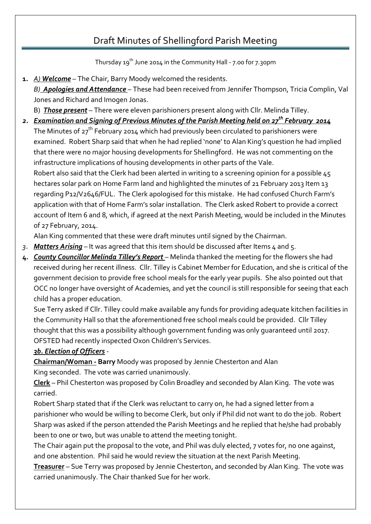Thursday 19th June 2014 in the Community Hall - 7.00 for 7.30pm

**1.** *A) Welcome* – The Chair, Barry Moody welcomed the residents.

*B) Apologies and Attendance* – These had been received from Jennifer Thompson, Tricia Complin, Val Jones and Richard and Imogen Jonas.

B) *Those present* – There were eleven parishioners present along with Cllr. Melinda Tilley.

#### *2. Examination and Signing of Previous Minutes of the Parish Meeting held on 27th February 2014*

The Minutes of  $27<sup>th</sup>$  February 2014 which had previously been circulated to parishioners were examined. Robert Sharp said that when he had replied 'none' to Alan King's question he had implied that there were no major housing developments for Shellingford. He was not commenting on the infrastructure implications of housing developments in other parts of the Vale.

Robert also said that the Clerk had been alerted in writing to a screening opinion for a possible 45 hectares solar park on Home Farm land and highlighted the minutes of 21 February 2013 Item 13 regarding P12/V2646/FUL. The Clerk apologised for this mistake. He had confused Church Farm's application with that of Home Farm's solar installation. The Clerk asked Robert to provide a correct account of Item 6 and 8, which, if agreed at the next Parish Meeting, would be included in the Minutes of 27 February, 2014.

Alan King commented that these were draft minutes until signed by the Chairman.

- *3. Matters Arising* It was agreed that this item should be discussed after Items 4 and 5.
- **4.** *County Councillor Melinda Tilley's Report* Melinda thanked the meeting for the flowers she had received during her recent illness. Cllr. Tilley is Cabinet Member for Education, and she is critical of the government decision to provide free school meals for the early year pupils. She also pointed out that OCC no longer have oversight of Academies, and yet the council is still responsible for seeing that each child has a proper education.

Sue Terry asked if Cllr. Tilley could make available any funds for providing adequate kitchen facilities in the Community Hall so that the aforementioned free school meals could be provided. Cllr Tilley thought that this was a possibility although government funding was only guaranteed until 2017. OFSTED had recently inspected Oxon Children's Services.

#### *3b. Election of Officers* -

**Chairman/Woman - Barry** Moody was proposed by Jennie Chesterton and Alan King seconded. The vote was carried unanimously.

**Clerk** – Phil Chesterton was proposed by Colin Broadley and seconded by Alan King. The vote was carried.

Robert Sharp stated that if the Clerk was reluctant to carry on, he had a signed letter from a parishioner who would be willing to become Clerk, but only if Phil did not want to do the job. Robert Sharp was asked if the person attended the Parish Meetings and he replied that he/she had probably been to one or two, but was unable to attend the meeting tonight.

The Chair again put the proposal to the vote, and Phil was duly elected, 7 votes for, no one against, and one abstention. Phil said he would review the situation at the next Parish Meeting.

**Treasurer** – Sue Terry was proposed by Jennie Chesterton, and seconded by Alan King. The vote was carried unanimously. The Chair thanked Sue for her work.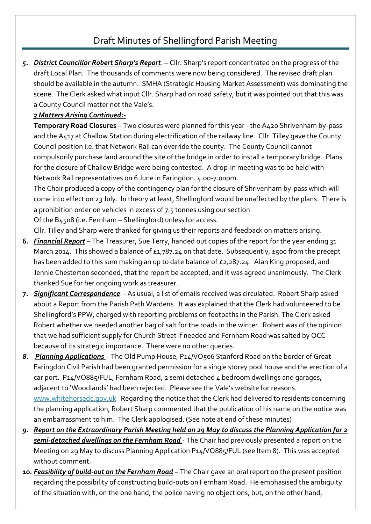*5. District Councillor Robert Sharp's Report*. – Cllr. Sharp's report concentrated on the progress of the draft Local Plan. The thousands of comments were now being considered. The revised draft plan should be available in the autumn. SMHA (Strategic Housing Market Assessment) was dominating the scene. The Clerk asked what input Cllr. Sharp had on road safety, but it was pointed out that this was a County Council matter not the Vale's.

#### *3 Matters Arising Continued:-*

**Temporary Road Closures** – Two closures were planned for this year - the A420 Shrivenham by-pass and the A417 at Challow Station during electrification of the railway line. Cllr. Tilley gave the County Council position i.e. that Network Rail can override the county. The County Council cannot compulsorily purchase land around the site of the bridge in order to install a temporary bridge. Plans for the closure of Challow Bridge were being contested. A drop-in meeting was to be held with Network Rail representatives on 6 June in Faringdon. 4.00-7.00pm.

The Chair produced a copy of the contingency plan for the closure of Shrivenham by-pass which will come into effect on 23 July. In theory at least, Shellingford would be unaffected by the plans. There is a prohibition order on vehicles in excess of 7.5 tonnes using our section

Of the B4508 (i.e. Fernham – Shellingford) unless for access.

Cllr. Tilley and Sharp were thanked for giving us their reports and feedback on matters arising.

- **6.** *Financial Report* The Treasurer, Sue Terry, handed out copies of the report for the year ending 31 March 2014. This showed a balance of £1,787.24 on that date. Subsequently, £500 from the precept has been added to this sum making an up to date balance of £2,287.24. Alan King proposed, and Jennie Chesterton seconded, that the report be accepted, and it was agreed unanimously. The Clerk thanked Sue for her ongoing work as treasurer.
- **7.** *Significant Correspondence*: As usual, a list of emails received was circulated. Robert Sharp asked about a Report from the Parish Path Wardens. It was explained that the Clerk had volunteered to be Shellingford's PPW, charged with reporting problems on footpaths in the Parish. The Clerk asked Robert whether we needed another bag of salt for the roads in the winter. Robert was of the opinion that we had sufficient supply for Church Street if needed and Fernham Road was salted by OCC because of its strategic importance. There were no other queries.
- *8. Planning Applications*  The Old Pump House, P14/VO506 Stanford Road on the border of Great Faringdon Civil Parish had been granted permission for a single storey pool house and the erection of a car port. P14/VO885/FUL, Fernham Road, 2 semi detached 4 bedroom dwellings and garages, adjacent to 'Woodlands' had been rejected. Please see the Vale's website for reasons. [www.whitehorsedc.gov.uk](http://www.whitehorsedc.gov.uk/) Regarding the notice that the Clerk had delivered to residents concerning the planning application, Robert Sharp commented that the publication of his name on the notice was an embarrassment to him. The Clerk apologised. (See note at end of these minutes)
- *9. Report on the Extraordinary Parish Meeting held on 29 May to discuss the Planning Application for 2 semi-detached dwellings on the Fernham Road* - The Chair had previously presented a report on the Meeting on 29 May to discuss Planning Application P14/VO885/FUL (see Item 8). This was accepted without comment.
- **10.** *Feasibility of build-out on the Fernham Road* The Chair gave an oral report on the present position regarding the possibility of constructing build-outs on Fernham Road. He emphasised the ambiguity of the situation with, on the one hand, the police having no objections, but, on the other hand,